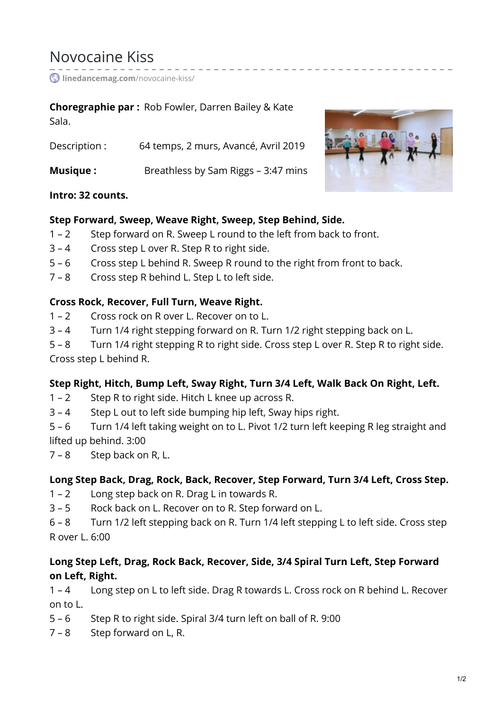# Novocaine Kiss

**[linedancemag.com](https://www.linedancemag.com/novocaine-kiss/)**/novocaine-kiss/

#### **Choregraphie par :** Rob Fowler, Darren Bailey & Kate Sala.

Description : 64 temps, 2 murs, Avancé, Avril 2019 **Musique :** Breathless by Sam Riggs – 3:47 mins



#### **Intro: 32 counts.**

#### **Step Forward, Sweep, Weave Right, Sweep, Step Behind, Side.**

- 1 2 Step forward on R. Sweep L round to the left from back to front.
- 3 4 Cross step L over R. Step R to right side.
- 5 6 Cross step L behind R. Sweep R round to the right from front to back.
- 7 8 Cross step R behind L. Step L to left side.

#### **Cross Rock, Recover, Full Turn, Weave Right.**

- 1 2 Cross rock on R over L. Recover on to L.
- 3 4 Turn 1/4 right stepping forward on R. Turn 1/2 right stepping back on L.

5 – 8 Turn 1/4 right stepping R to right side. Cross step L over R. Step R to right side. Cross step L behind R.

## **Step Right, Hitch, Bump Left, Sway Right, Turn 3/4 Left, Walk Back On Right, Left.**

- 1 2 Step R to right side. Hitch L knee up across R.
- 3 4 Step L out to left side bumping hip left, Sway hips right.

5 – 6 Turn 1/4 left taking weight on to L. Pivot 1/2 turn left keeping R leg straight and lifted up behind. 3:00

7 – 8 Step back on R, L.

## **Long Step Back, Drag, Rock, Back, Recover, Step Forward, Turn 3/4 Left, Cross Step.**

- 1 2 Long step back on R. Drag L in towards R.
- 3 5 Rock back on L. Recover on to R. Step forward on L.
- 6 8 Turn 1/2 left stepping back on R. Turn 1/4 left stepping L to left side. Cross step R over L. 6:00

## **Long Step Left, Drag, Rock Back, Recover, Side, 3/4 Spiral Turn Left, Step Forward on Left, Right.**

1 – 4 Long step on L to left side. Drag R towards L. Cross rock on R behind L. Recover on to L.

- 5 6 Step R to right side. Spiral 3/4 turn left on ball of R. 9:00
- 7 8 Step forward on L, R.